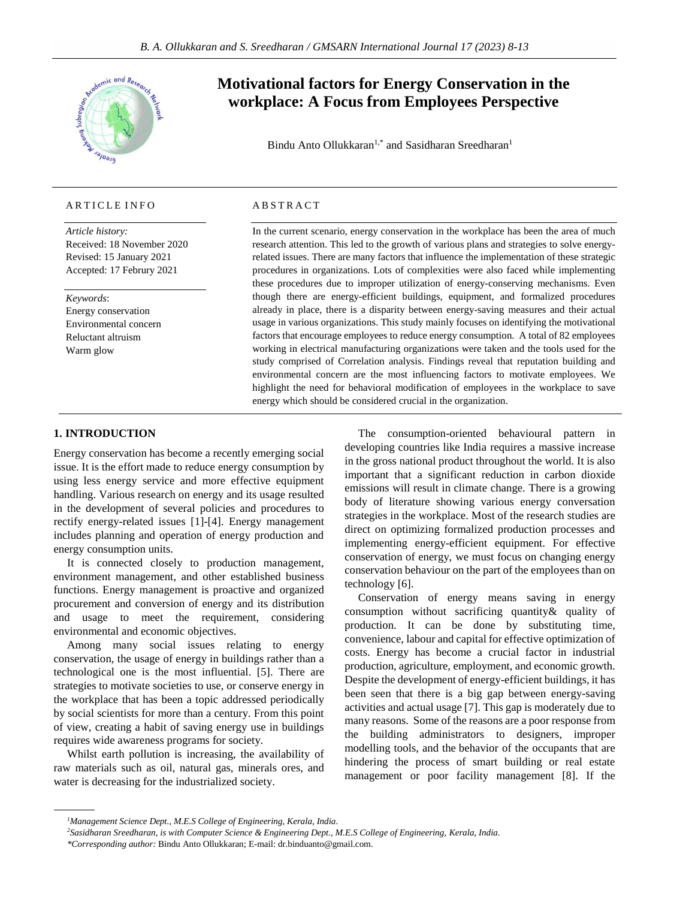

# ARTICLE INFO

*Article history:* Received: 18 November 2020 Revised: 15 January 2021 Accepted: 17 Februry 2021

*Keywords*: Energy conservation Environmental concern Reluctant altruism Warm glow

# **Motivational factors for Energy Conservation in the workplace: A Focus from Employees Perspective**

Bindu Anto Ollukkaran<sup>1,\*</sup> and Sasidharan Sreedharan<sup>1</sup>

# A B S T R A C T

In the current scenario, energy conservation in the workplace has been the area of much research attention. This led to the growth of various plans and strategies to solve energyrelated issues. There are many factors that influence the implementation of these strategic procedures in organizations. Lots of complexities were also faced while implementing these procedures due to improper utilization of energy-conserving mechanisms. Even though there are energy-efficient buildings, equipment, and formalized procedures already in place, there is a disparity between energy-saving measures and their actual usage in various organizations. This study mainly focuses on identifying the motivational factors that encourage employees to reduce energy consumption. A total of 82 employees working in electrical manufacturing organizations were taken and the tools used for the study comprised of Correlation analysis. Findings reveal that reputation building and environmental concern are the most influencing factors to motivate employees. We highlight the need for behavioral modification of employees in the workplace to save energy which should be considered crucial in the organization.

## **1. INTRODUCTION**

Energy conservation has become a recently emerging social issue. It is the effort made to reduce energy consumption by using less energy service and more effective equipment handling. Various research on energy and its usage resulted in the development of several policies and procedures to rectify energy-related issues [1]-[4]. Energy management includes planning and operation of energy production and energy consumption units.

It is connected closely to production management, environment management, and other established business functions. Energy management is proactive and organized procurement and conversion of energy and its distribution and usage to meet the requirement, considering environmental and economic objectives.

Among many social issues relating to energy conservation, the usage of energy in buildings rather than a technological one is the most influential. [5]. There are strategies to motivate societies to use, or conserve energy in the workplace that has been a topic addressed periodically by social scientists for more than a century. From this point of view, creating a habit of saving energy use in buildings requires wide awareness programs for society.

Whilst earth pollution is increasing, the availability of raw materials such as oil, natural gas, minerals ores, and water is decreasing for the industrialized society.

The consumption-oriented behavioural pattern in developing countries like India requires a massive increase in the gross national product throughout the world. It is also important that a significant reduction in carbon dioxide emissions will result in climate change. There is a growing body of literature showing various energy conversation strategies in the workplace. Most of the research studies are direct on optimizing formalized production processes and implementing energy-efficient equipment. For effective conservation of energy, we must focus on changing energy conservation behaviour on the part of the employees than on technology [6].

Conservation of energy means saving in energy consumption without sacrificing quantity& quality of production. It can be done by substituting time, convenience, labour and capital for effective optimization of costs. Energy has become a crucial factor in industrial production, agriculture, employment, and economic growth. Despite the development of energy-efficient buildings, it has been seen that there is a big gap between energy-saving activities and actual usage [7]. This gap is moderately due to many reasons. Some of the reasons are a poor response from the building administrators to designers, improper modelling tools, and the behavior of the occupants that are hindering the process of smart building or real estate management or poor facility management [8]. If the

*\*Corresponding author:* Bindu Anto Ollukkaran; E-mail: dr.binduanto@gmail.com.

*<sup>1</sup>Management Science Dept., M.E.S College of Engineering, Kerala, India.*

*<sup>2</sup>Sasidharan Sreedharan, is with Computer Science & Engineering Dept., M.E.S College of Engineering, Kerala, India.*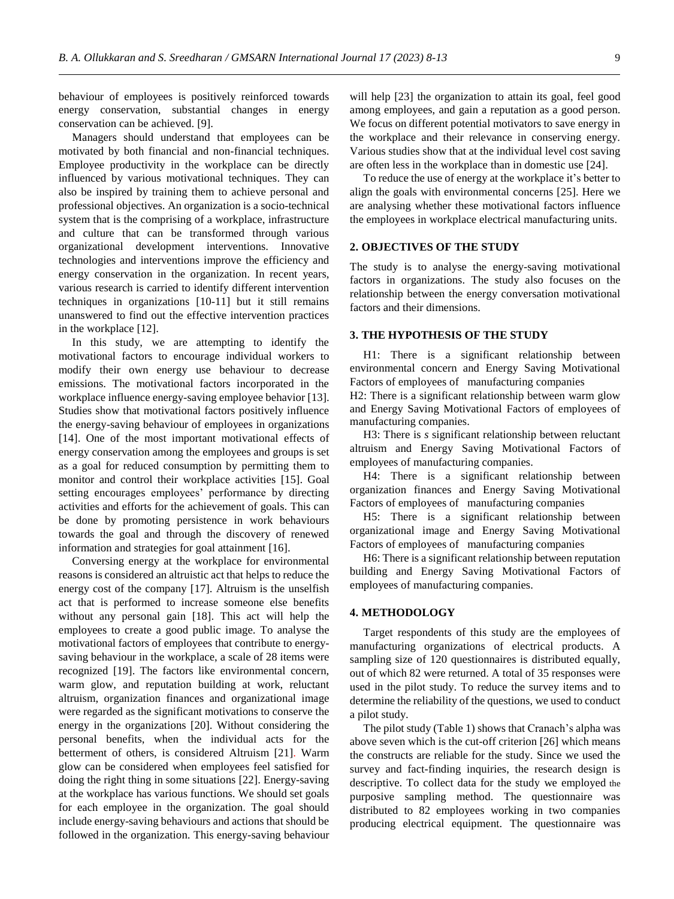behaviour of employees is positively reinforced towards energy conservation, substantial changes in energy conservation can be achieved. [9].

Managers should understand that employees can be motivated by both financial and non-financial techniques. Employee productivity in the workplace can be directly influenced by various motivational techniques. They can also be inspired by training them to achieve personal and professional objectives. An organization is a socio-technical system that is the comprising of a workplace, infrastructure and culture that can be transformed through various organizational development interventions. Innovative technologies and interventions improve the efficiency and energy conservation in the organization. In recent years, various research is carried to identify different intervention techniques in organizations [10-11] but it still remains unanswered to find out the effective intervention practices in the workplace [12].

In this study, we are attempting to identify the motivational factors to encourage individual workers to modify their own energy use behaviour to decrease emissions. The motivational factors incorporated in the workplace influence energy-saving employee behavior [13]. Studies show that motivational factors positively influence the energy-saving behaviour of employees in organizations [14]. One of the most important motivational effects of energy conservation among the employees and groups is set as a goal for reduced consumption by permitting them to monitor and control their workplace activities [15]. Goal setting encourages employees' performance by directing activities and efforts for the achievement of goals. This can be done by promoting persistence in work behaviours towards the goal and through the discovery of renewed information and strategies for goal attainment [16].

Conversing energy at the workplace for environmental reasons is considered an altruistic act that helps to reduce the energy cost of the company [17]. Altruism is the unselfish act that is performed to increase someone else benefits without any personal gain [18]. This act will help the employees to create a good public image. To analyse the motivational factors of employees that contribute to energysaving behaviour in the workplace, a scale of 28 items were recognized [19]. The factors like environmental concern, warm glow, and reputation building at work, reluctant altruism, organization finances and organizational image were regarded as the significant motivations to conserve the energy in the organizations [20]. Without considering the personal benefits, when the individual acts for the betterment of others, is considered Altruism [21]. Warm glow can be considered when employees feel satisfied for doing the right thing in some situations [22]. Energy-saving at the workplace has various functions. We should set goals for each employee in the organization. The goal should include energy-saving behaviours and actions that should be followed in the organization. This energy-saving behaviour will help [23] the organization to attain its goal, feel good among employees, and gain a reputation as a good person. We focus on different potential motivators to save energy in the workplace and their relevance in conserving energy. Various studies show that at the individual level cost saving are often less in the workplace than in domestic use [24].

To reduce the use of energy at the workplace it's better to align the goals with environmental concerns [25]. Here we are analysing whether these motivational factors influence the employees in workplace electrical manufacturing units.

### **2. OBJECTIVES OF THE STUDY**

The study is to analyse the energy-saving motivational factors in organizations. The study also focuses on the relationship between the energy conversation motivational factors and their dimensions.

#### **3. THE HYPOTHESIS OF THE STUDY**

H1: There is a significant relationship between environmental concern and Energy Saving Motivational Factors of employees of manufacturing companies

H2: There is a significant relationship between warm glow and Energy Saving Motivational Factors of employees of manufacturing companies.

H3: There is *s* significant relationship between reluctant altruism and Energy Saving Motivational Factors of employees of manufacturing companies.

H4: There is a significant relationship between organization finances and Energy Saving Motivational Factors of employees of manufacturing companies

H5: There is a significant relationship between organizational image and Energy Saving Motivational Factors of employees of manufacturing companies

H6: There is a significant relationship between reputation building and Energy Saving Motivational Factors of employees of manufacturing companies.

## **4. METHODOLOGY**

Target respondents of this study are the employees of manufacturing organizations of electrical products. A sampling size of 120 questionnaires is distributed equally, out of which 82 were returned. A total of 35 responses were used in the pilot study. To reduce the survey items and to determine the reliability of the questions, we used to conduct a pilot study.

The pilot study (Table 1) shows that Cranach's alpha was above seven which is the cut-off criterion [26] which means the constructs are reliable for the study. Since we used the survey and fact-finding inquiries, the research design is descriptive. To collect data for the study we employed the purposive sampling method. The questionnaire was distributed to 82 employees working in two companies producing electrical equipment. The questionnaire was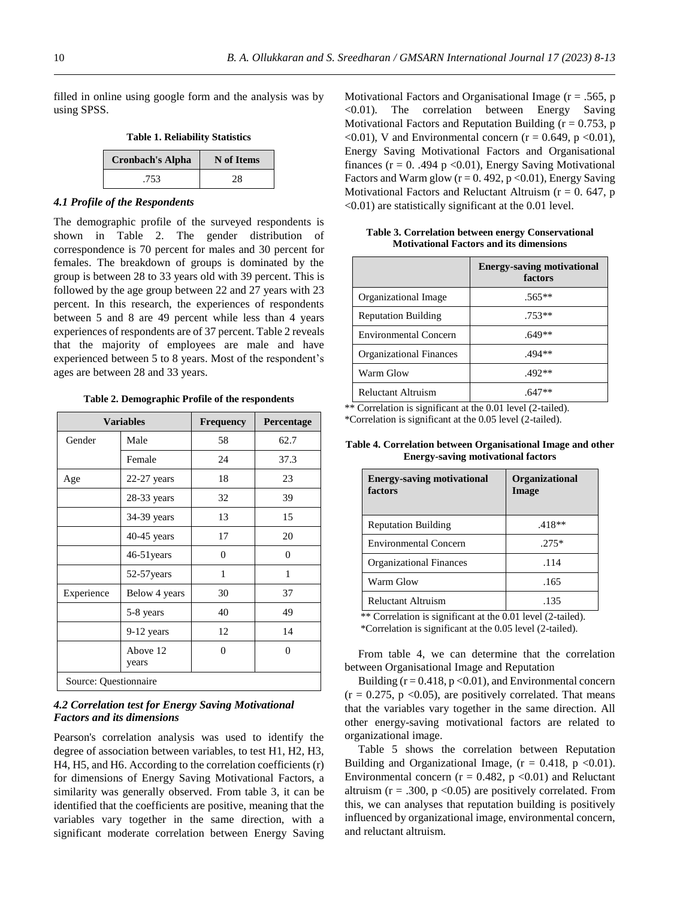filled in online using google form and the analysis was by using SPSS.

| <b>Table 1. Reliability Statistics</b> |  |  |
|----------------------------------------|--|--|
|----------------------------------------|--|--|

| <b>Cronbach's Alpha</b> | N of Items |
|-------------------------|------------|
| .753                    | 28         |

## *4.1 Profile of the Respondents*

The demographic profile of the surveyed respondents is shown in Table 2. The gender distribution of correspondence is 70 percent for males and 30 percent for females. The breakdown of groups is dominated by the group is between 28 to 33 years old with 39 percent. This is followed by the age group between 22 and 27 years with 23 percent. In this research, the experiences of respondents between 5 and 8 are 49 percent while less than 4 years experiences of respondents are of 37 percent. Table 2 reveals that the majority of employees are male and have experienced between 5 to 8 years. Most of the respondent's ages are between 28 and 33 years.

**Table 2. Demographic Profile of the respondents**

|                       | <b>Variables</b>  | <b>Frequency</b> | Percentage     |
|-----------------------|-------------------|------------------|----------------|
| Gender                | Male              | 58               | 62.7           |
|                       | Female            | 24               | 37.3           |
| Age                   | $22-27$ years     | 18               | 23             |
|                       | $28-33$ years     | 32               | 39             |
|                       | 34-39 years       | 13               | 15             |
|                       | $40-45$ years     | 17               | 20             |
|                       | 46-51 years       | $\Omega$         | $\theta$       |
|                       | 52-57 years       | 1                | 1              |
| Experience            | Below 4 years     | 30               | 37             |
|                       | 5-8 years         | 40               | 49             |
|                       | 9-12 years        | 12               | 14             |
|                       | Above 12<br>years | $\theta$         | $\overline{0}$ |
| Source: Questionnaire |                   |                  |                |

## *4.2 Correlation test for Energy Saving Motivational Factors and its dimensions*

Pearson's correlation analysis was used to identify the degree of association between variables, to test H1, H2, H3, H4, H5, and H6. According to the correlation coefficients (r) for dimensions of Energy Saving Motivational Factors, a similarity was generally observed. From table 3, it can be identified that the coefficients are positive, meaning that the variables vary together in the same direction, with a significant moderate correlation between Energy Saving

Motivational Factors and Organisational Image ( $r = .565$ , p  $\leq 0.01$ ). The correlation between Energy Saving Motivational Factors and Reputation Building ( $r = 0.753$ , p  $\leq 0.01$ ), V and Environmental concern (r = 0.649, p  $\leq 0.01$ ), Energy Saving Motivational Factors and Organisational finances ( $r = 0$ . .494 p < 0.01), Energy Saving Motivational Factors and Warm glow ( $r = 0.492$ ,  $p < 0.01$ ), Energy Saving Motivational Factors and Reluctant Altruism ( $r = 0$ . 647, p <0.01) are statistically significant at the 0.01 level.

|                                | <b>Energy-saving motivational</b><br>factors |
|--------------------------------|----------------------------------------------|
| Organizational Image           | $.565**$                                     |
| <b>Reputation Building</b>     | $.753**$                                     |
| <b>Environmental Concern</b>   | $.649**$                                     |
| <b>Organizational Finances</b> | .494**                                       |
| Warm Glow                      | $.492**$                                     |
| <b>Reluctant Altruism</b>      |                                              |

**Table 3. Correlation between energy Conservational Motivational Factors and its dimensions**

\*\* Correlation is significant at the 0.01 level (2-tailed).

\*Correlation is significant at the 0.05 level (2-tailed).

**Table 4. Correlation between Organisational Image and other Energy-saving motivational factors**

| <b>Energy-saving motivational</b><br>factors | <b>Organizational</b><br>Image |
|----------------------------------------------|--------------------------------|
| <b>Reputation Building</b>                   | $.418**$                       |
| <b>Environmental Concern</b>                 | $.275*$                        |
| <b>Organizational Finances</b>               | .114                           |
| Warm Glow                                    | .165                           |
| <b>Reluctant Altruism</b>                    | .135                           |

\*\* Correlation is significant at the 0.01 level (2-tailed). \*Correlation is significant at the 0.05 level (2-tailed).

From table 4, we can determine that the correlation between Organisational Image and Reputation

Building ( $r = 0.418$ ,  $p < 0.01$ ), and Environmental concern  $(r = 0.275, p < 0.05)$ , are positively correlated. That means that the variables vary together in the same direction. All other energy-saving motivational factors are related to organizational image.

Table 5 shows the correlation between Reputation Building and Organizational Image,  $(r = 0.418, p < 0.01)$ . Environmental concern ( $r = 0.482$ ,  $p \le 0.01$ ) and Reluctant altruism ( $r = .300$ ,  $p < 0.05$ ) are positively correlated. From this, we can analyses that reputation building is positively influenced by organizational image, environmental concern, and reluctant altruism.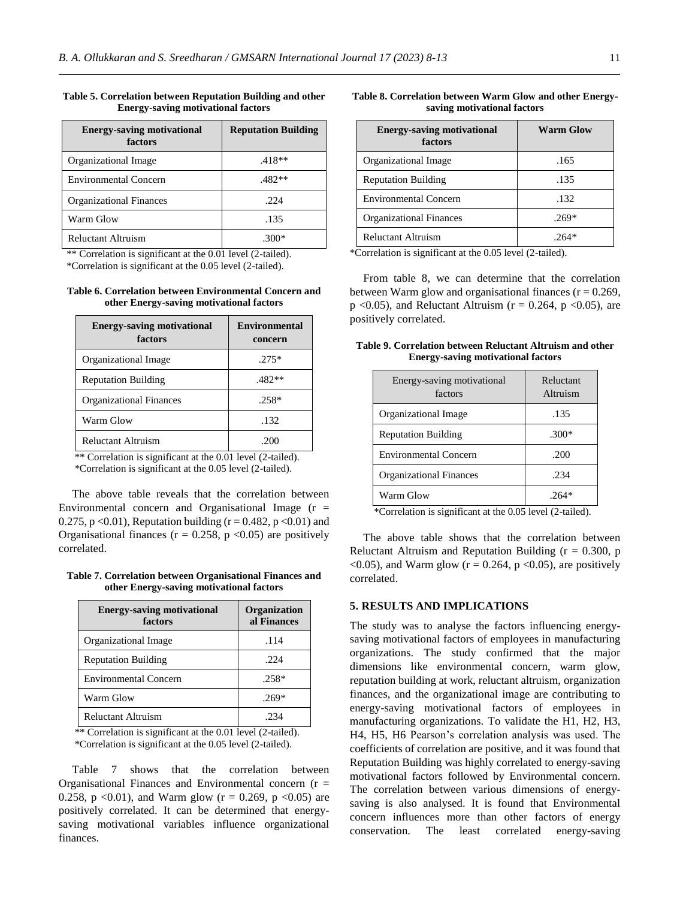| <b>Energy-saving motivational</b><br>factors | <b>Reputation Building</b> |
|----------------------------------------------|----------------------------|
| Organizational Image                         | $.418**$                   |
| <b>Environmental Concern</b>                 | $.482**$                   |
| <b>Organizational Finances</b>               | .224                       |
| Warm Glow                                    | .135                       |
| Reluctant Altruism                           |                            |

## **Table 5. Correlation between Reputation Building and other Energy-saving motivational factors**

\*\* Correlation is significant at the 0.01 level (2-tailed).

\*Correlation is significant at the 0.05 level (2-tailed).

### **Table 6. Correlation between Environmental Concern and other Energy-saving motivational factors**

| <b>Energy-saving motivational</b><br>factors | <b>Environmental</b><br>concern |
|----------------------------------------------|---------------------------------|
| Organizational Image                         | $.275*$                         |
| <b>Reputation Building</b>                   | $.482**$                        |
| <b>Organizational Finances</b>               | $.258*$                         |
| Warm Glow                                    | .132                            |
| <b>Reluctant Altruism</b>                    | .200                            |

\*\* Correlation is significant at the 0.01 level (2-tailed). \*Correlation is significant at the 0.05 level (2-tailed).

The above table reveals that the correlation between Environmental concern and Organisational Image  $(r =$ 0.275, p < 0.01), Reputation building ( $r = 0.482$ , p < 0.01) and Organisational finances ( $r = 0.258$ ,  $p < 0.05$ ) are positively correlated.

**Table 7. Correlation between Organisational Finances and other Energy-saving motivational factors**

| <b>Energy-saving motivational</b><br>factors | Organization<br>al Finances |
|----------------------------------------------|-----------------------------|
| Organizational Image                         | .114                        |
| <b>Reputation Building</b>                   | .224                        |
| <b>Environmental Concern</b>                 | $.258*$                     |
| Warm Glow                                    | $.269*$                     |
| <b>Reluctant Altruism</b>                    | -234                        |

\*\* Correlation is significant at the 0.01 level (2-tailed). \*Correlation is significant at the 0.05 level (2-tailed).

Table 7 shows that the correlation between Organisational Finances and Environmental concern  $(r =$ 0.258, p <0.01), and Warm glow ( $r = 0.269$ , p <0.05) are positively correlated. It can be determined that energysaving motivational variables influence organizational finances.

### **Table 8. Correlation between Warm Glow and other Energysaving motivational factors**

| <b>Energy-saving motivational</b><br>factors | <b>Warm Glow</b> |
|----------------------------------------------|------------------|
| Organizational Image                         | .165             |
| <b>Reputation Building</b>                   | .135             |
| <b>Environmental Concern</b>                 | .132             |
| <b>Organizational Finances</b>               | $.269*$          |
| <b>Reluctant Altruism</b>                    |                  |

\*Correlation is significant at the 0.05 level (2-tailed).

From table 8, we can determine that the correlation between Warm glow and organisational finances ( $r = 0.269$ ,  $p \le 0.05$ ), and Reluctant Altruism ( $r = 0.264$ ,  $p \le 0.05$ ), are positively correlated.

## **Table 9. Correlation between Reluctant Altruism and other Energy-saving motivational factors**

| Energy-saving motivational<br>factors | Reluctant<br>Altruism |
|---------------------------------------|-----------------------|
| Organizational Image                  | .135                  |
| <b>Reputation Building</b>            | $.300*$               |
| <b>Environmental Concern</b>          | .200                  |
| <b>Organizational Finances</b>        | .234                  |
| Warm Glow                             |                       |

\*Correlation is significant at the 0.05 level (2-tailed).

The above table shows that the correlation between Reluctant Altruism and Reputation Building ( $r = 0.300$ , p  $\langle 0.05 \rangle$ , and Warm glow (r = 0.264, p  $\langle 0.05 \rangle$ ), are positively correlated.

## **5. RESULTS AND IMPLICATIONS**

The study was to analyse the factors influencing energysaving motivational factors of employees in manufacturing organizations. The study confirmed that the major dimensions like environmental concern, warm glow, reputation building at work, reluctant altruism, organization finances, and the organizational image are contributing to energy-saving motivational factors of employees in manufacturing organizations. To validate the H1, H2, H3, H4, H5, H6 Pearson's correlation analysis was used. The coefficients of correlation are positive, and it was found that Reputation Building was highly correlated to energy-saving motivational factors followed by Environmental concern. The correlation between various dimensions of energysaving is also analysed. It is found that Environmental concern influences more than other factors of energy conservation. The least correlated energy-saving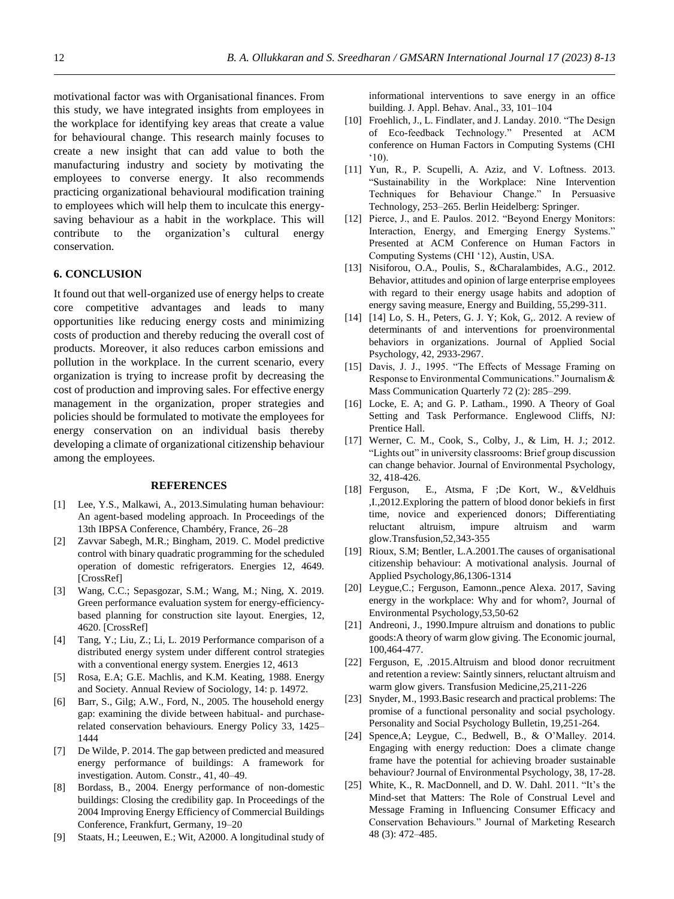motivational factor was with Organisational finances. From this study, we have integrated insights from employees in the workplace for identifying key areas that create a value for behavioural change. This research mainly focuses to create a new insight that can add value to both the manufacturing industry and society by motivating the employees to converse energy. It also recommends practicing organizational behavioural modification training to employees which will help them to inculcate this energysaving behaviour as a habit in the workplace. This will contribute to the organization's cultural energy conservation.

# **6. CONCLUSION**

It found out that well-organized use of energy helps to create core competitive advantages and leads to many opportunities like reducing energy costs and minimizing costs of production and thereby reducing the overall cost of products. Moreover, it also reduces carbon emissions and pollution in the workplace. In the current scenario, every organization is trying to increase profit by decreasing the cost of production and improving sales. For effective energy management in the organization, proper strategies and policies should be formulated to motivate the employees for energy conservation on an individual basis thereby developing a climate of organizational citizenship behaviour among the employees.

## **REFERENCES**

- [1] Lee, Y.S., Malkawi, A., 2013.Simulating human behaviour: An agent-based modeling approach. In Proceedings of the 13th IBPSA Conference, Chambéry, France, 26–28
- [2] Zavvar Sabegh, M.R.; Bingham, 2019. C. Model predictive control with binary quadratic programming for the scheduled operation of domestic refrigerators. Energies 12, 4649. [CrossRef]
- [3] Wang, C.C.; Sepasgozar, S.M.; Wang, M.; Ning, X. 2019. Green performance evaluation system for energy-efficiencybased planning for construction site layout. Energies, 12, 4620. [CrossRef]
- [4] Tang, Y.; Liu, Z.; Li, L. 2019 Performance comparison of a distributed energy system under different control strategies with a conventional energy system. Energies 12, 4613
- [5] Rosa, E.A; G.E. Machlis, and K.M. Keating, 1988. Energy and Society. Annual Review of Sociology, 14: p. 14972.
- [6] Barr, S., Gilg; A.W., Ford, N., 2005. The household energy gap: examining the divide between habitual- and purchaserelated conservation behaviours. Energy Policy 33, 1425– 1444
- [7] De Wilde, P. 2014. The gap between predicted and measured energy performance of buildings: A framework for investigation. Autom. Constr., 41, 40–49.
- [8] Bordass, B., 2004. Energy performance of non-domestic buildings: Closing the credibility gap. In Proceedings of the 2004 Improving Energy Efficiency of Commercial Buildings Conference, Frankfurt, Germany, 19–20
- [9] Staats, H.; Leeuwen, E.; Wit, A2000. A longitudinal study of

informational interventions to save energy in an office building. J. Appl. Behav. Anal., 33, 101–104

- [10] Froehlich, J., L. Findlater, and J. Landay. 2010. "The Design of Eco-feedback Technology." Presented at ACM conference on Human Factors in Computing Systems (CHI '10).
- [11] Yun, R., P. Scupelli, A. Aziz, and V. Loftness. 2013. "Sustainability in the Workplace: Nine Intervention Techniques for Behaviour Change." In Persuasive Technology, 253–265. Berlin Heidelberg: Springer.
- [12] Pierce, J., and E. Paulos. 2012. "Beyond Energy Monitors: Interaction, Energy, and Emerging Energy Systems." Presented at ACM Conference on Human Factors in Computing Systems (CHI '12), Austin, USA.
- [13] Nisiforou, O.A., Poulis, S., &Charalambides, A.G., 2012. Behavior, attitudes and opinion of large enterprise employees with regard to their energy usage habits and adoption of energy saving measure, Energy and Building, 55,299-311.
- [14] [14] Lo, S. H., Peters, G. J. Y; Kok, G., 2012. A review of determinants of and interventions for proenvironmental behaviors in organizations. Journal of Applied Social Psychology, 42, 2933-2967.
- [15] Davis, J. J., 1995. "The Effects of Message Framing on Response to Environmental Communications." Journalism & Mass Communication Quarterly 72 (2): 285–299.
- [16] Locke, E. A; and G. P. Latham., 1990. A Theory of Goal Setting and Task Performance. Englewood Cliffs, NJ: Prentice Hall.
- [17] Werner, C. M., Cook, S., Colby, J., & Lim, H. J.; 2012. "Lights out" in university classrooms: Brief group discussion can change behavior. Journal of Environmental Psychology, 32, 418-426.
- [18] Ferguson, E., Atsma, F ;De Kort, W., &Veldhuis ,I.,2012.Exploring the pattern of blood donor bekiefs in first time, novice and experienced donors; Differentiating reluctant altruism, impure altruism and warm glow.Transfusion,52,343-355
- [19] Rioux, S.M; Bentler, L.A.2001. The causes of organisational citizenship behaviour: A motivational analysis. Journal of Applied Psychology,86,1306-1314
- [20] Leygue,C.; Ferguson, Eamonn.,pence Alexa. 2017, Saving energy in the workplace: Why and for whom?, Journal of Environmental Psychology,53,50-62
- [21] Andreoni, J., 1990. Impure altruism and donations to public goods:A theory of warm glow giving. The Economic journal, 100,464-477.
- [22] Ferguson, E, .2015.Altruism and blood donor recruitment and retention a review: Saintly sinners, reluctant altruism and warm glow givers. Transfusion Medicine,25,211-226
- [23] Snyder, M., 1993.Basic research and practical problems: The promise of a functional personality and social psychology. Personality and Social Psychology Bulletin, 19,251-264.
- [24] Spence,A; Leygue, C., Bedwell, B., & O'Malley. 2014. Engaging with energy reduction: Does a climate change frame have the potential for achieving broader sustainable behaviour? Journal of Environmental Psychology, 38, 17-28.
- [25] White, K., R. MacDonnell, and D. W. Dahl. 2011. "It's the Mind-set that Matters: The Role of Construal Level and Message Framing in Influencing Consumer Efficacy and Conservation Behaviours." Journal of Marketing Research 48 (3): 472–485.